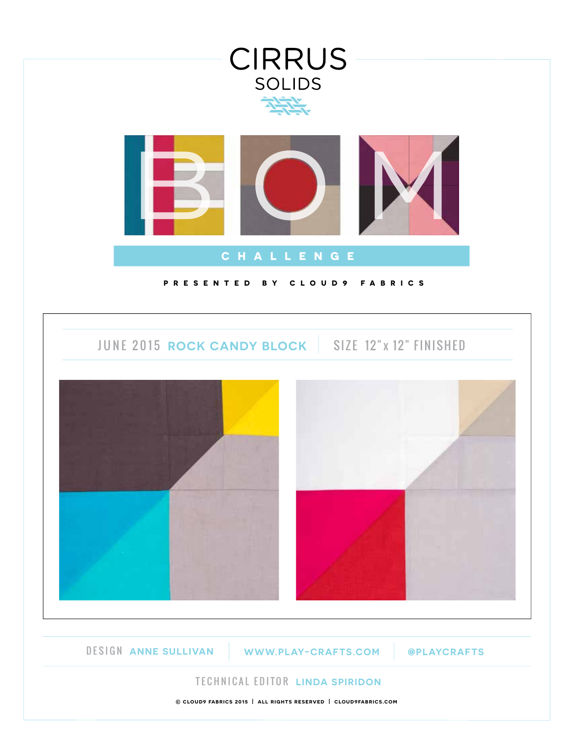

**© cloud9 fabrics 2015 | all rights reserved | cloud9fabrics.com**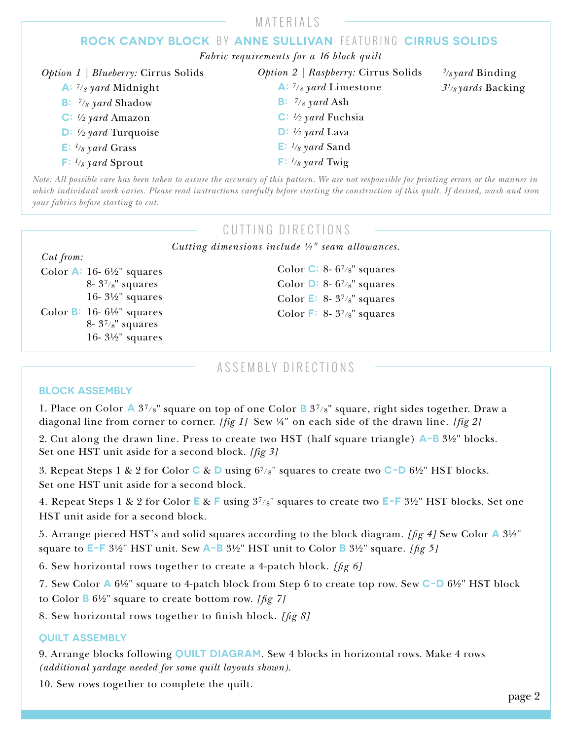|                                                   | MATERIALS                                                                                                                                  |                            |
|---------------------------------------------------|--------------------------------------------------------------------------------------------------------------------------------------------|----------------------------|
|                                                   | ROCK CANDY BLOCK BY ANNE SULLIVAN FEATURING CIRRUS SOLIDS                                                                                  |                            |
|                                                   | Fabric requirements for a 16 block quilt                                                                                                   |                            |
| <i>Option 1</i>   <i>Blueberry:</i> Cirrus Solids | <i>Option 2   Raspberry: Cirrus Solids</i>                                                                                                 | $\frac{3}{8}$ yard Binding |
| A: $\frac{7}{8}$ yard Midnight                    | A: $\frac{7}{8}$ yard Limestone                                                                                                            | $3^{1}/8$ yards Backing    |
| <b>B:</b> $\frac{7}{8}$ yard Shadow               | <b>B</b> : $\frac{7}{8}$ yard Ash                                                                                                          |                            |
| C: $\frac{1}{2}$ yard Amazon                      | C: $\frac{1}{2}$ yard Fuchsia                                                                                                              |                            |
| $\mathbf{D}: \mathcal{V}_2$ yard Turquoise        | $\mathbf{D}: \mathcal{V}_2$ yard Lava                                                                                                      |                            |
| $\mathbf{E}: \mathbf{1}_{8}$ yard Grass           | $\mathsf{E}: \mathbb{1}_{8}$ yard Sand                                                                                                     |                            |
| $\mathsf{F}: \mathbb{I}_{8}$ yard Sprout          | $\mathsf{F}: \mathit{V}_8$ yard Twig                                                                                                       |                            |
|                                                   | Note: All possible care has been taken to assure the accuracy of this pattern. We are not responsible for printing errors or the manner in |                            |

*Note: All possible care has been taken to assure the accuracy of this pattern. We are not responsible for printing errors or the manner in which individual work varies. Please read instructions carefully before starting the construction of this quilt. If desired, wash and iron your fabrics before starting to cut.*

## CUTTING DIRECTIONS

*Cutting dimensions include ¼" seam allowances.*

| Cut from: |
|-----------|
|           |

Color **A:** 16- 6½" squares 8-  $3^{7}/8$ " squares 16- 3½" squares Color **B:** 16- 6½" squares 8- 37/8" squares 16- 3½" squares

Color **C:** 8- 67/8" squares Color **D:** 8- 67/8" squares Color **E:** 8- 37/8" squares Color **F:** 8- 37/8" squares

### ASSEMBLY DIRECTIONS

#### **BLOCK ASSEMBLY**

1. Place on Color **A** 37/8" square on top of one Color **B** 37/8" square, right sides together. Draw a diagonal line from corner to corner. *[fig 1]* Sew ¼" on each side of the drawn line. *[fig 2]*

2. Cut along the drawn line. Press to create two HST (half square triangle) **A-B** 3½" blocks. Set one HST unit aside for a second block. *[fig 3]* 

3. Repeat Steps 1 & 2 for Color **C** & **D** using 67/8" squares to create two **C-D** 6½" HST blocks. Set one HST unit aside for a second block.

4. Repeat Steps 1 & 2 for Color **E** & **F** using 37/8" squares to create two **E-F** 3½" HST blocks. Set one HST unit aside for a second block.

5. Arrange pieced HST's and solid squares according to the block diagram. *[g 4]* Sew Color **A** 3½" square to **E-F** 3½" HST unit. Sew **A-B** 3½" HST unit to Color **B** 3½" square. *[g 5]*

6. Sew horizontal rows together to create a 4-patch block. *[g 6]*

7. Sew Color **A** 6½" square to 4-patch block from Step 6 to create top row. Sew **C-D** 6½" HST block

to Color **B** 6½" square to create bottom row. *[g 7]*

8. Sew horizontal rows together to finish block. [fig 8]

#### **QUILT ASSEMBLY**

9. Arrange blocks following **QUILT DIAGRAM**. Sew 4 blocks in horizontal rows. Make 4 rows *(additional yardage needed for some quilt layouts shown).*

10. Sew rows together to complete the quilt.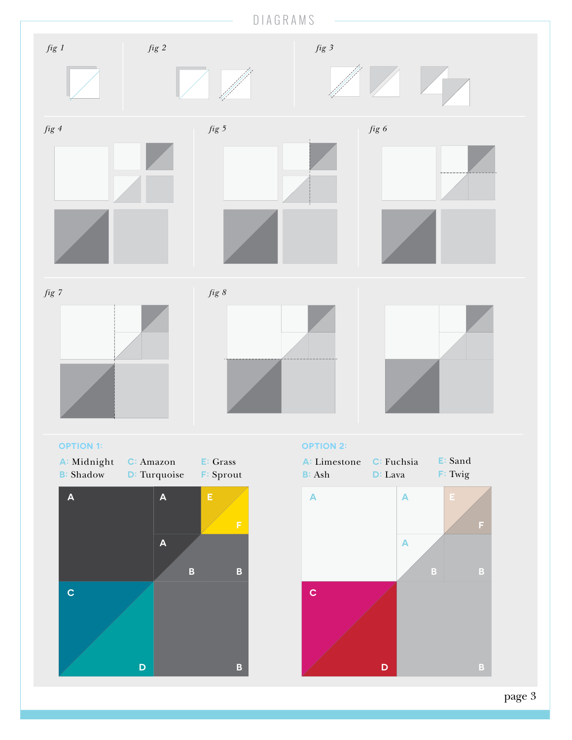